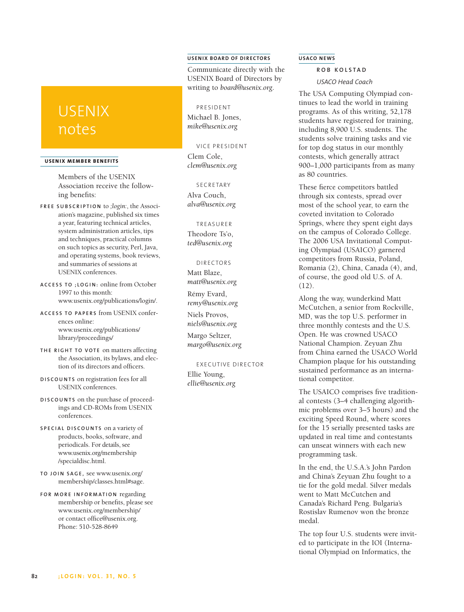# **USENIX BOARD OF DIRECTORS**

Communicate directly with the USENIX Board of Directors by writing to *board@usenix.org*.

## PRESIDENT

Michael B. Jones, *mike@usenix.org*

# VICE PRESIDENT

Clem Cole, *clem@usenix.org*

## **SECRETARY**

Alva Couch, *alva@usenix.org*

## TREASURER

Theodore Ts'o, *ted@usenix.org*

#### DIRECTORS

Matt Blaze, *matt@usenix.org*

Rémy Evard, *remy@usenix.org*

Niels Provos, *niels@usenix.org*

Margo Seltzer, *margo@usenix.org*

#### EXECUTIVE DIRECTOR

Ellie Young, *ellie@usenix.org*

#### **USACO NEWS**

# **R O B K O L S T A D**

*USACO Head Coach*

The USA Computing Olympiad continues to lead the world in training programs. As of this writing, 52,178 students have registered for training, including 8,900 U.S. students. The students solve training tasks and vie for top dog status in our monthly contests, which generally attract 900–1,000 participants from as many as 80 countries.

These fierce competitors battled through six contests, spread over most of the school year, to earn the coveted invitation to Colorado Springs, where they spent eight days on the campus of Colorado College. The 2006 USA Invitational Computing Olympiad (USAICO) garnered competitors from Russia, Poland, Romania (2), China, Canada (4), and, of course, the good old U.S. of A.  $(12)$ .

Along the way, wunderkind Matt McCutchen, a senior from Rockville, MD, was the top U.S. performer in three monthly contests and the U.S. Open. He was crowned USACO National Champion. Zeyuan Zhu from China earned the USACO World Champion plaque for his outstanding sustained performance as an international competitor.

The USAICO comprises five traditional contests (3–4 challenging algorithmic problems over 3–5 hours) and the exciting Speed Round, where scores for the 15 serially presented tasks are updated in real time and contestants can unseat winners with each new programming task.

In the end, the U.S.A.'s John Pardon and China's Zeyuan Zhu fought to a tie for the gold medal. Silver medals went to Matt McCutchen and Canada's Richard Peng. Bulgaria's Rostislav Rumenov won the bronze medal.

The top four U.S. students were invited to participate in the IOI (International Olympiad on Informatics, the

# USENIX notes

#### **USENIX MEMBER BENEF ITS**

Members of the USENIX Association receive the following benefits:

- **F R E E S U B S C R I P T I O N** to *;login:*, the Association's magazine, published six times a year, featuring technical articles, system administration articles, tips and techniques, practical columns on such topics as security, Perl, Java, and operating systems, book reviews, and summaries of sessions at USENIX conferences.
- **A C C E S S T O ; L O G I N :** online from October 1997 to this month: www.usenix.org/publications/login/.
- **A C C E S S T O PA P E R S** from USENIX conferences online: www.usenix.org/publications/ library/proceedings/
- **TH E R I G H T T O V O T E** on matters affecting the Association, its bylaws, and election of its directors and officers.
- **D I S C O U N T S** on registration fees for all USENIX conferences.
- **D I S C O U N T S** on the purchase of proceedings and CD-ROMs from USENIX conferences.
- **S P E C I A L D I S C O U N T S** on a variety of products, books, software, and periodicals. For details, see www.usenix.org/membership /specialdisc.html.
- **T O J O I N S AG E ,** see www.usenix.org/ membership/classes.html#sage.
- **F O R M O R E I N F O R M AT I O N** regarding membership or benefits, please see www.usenix.org/membership/ or contact office@usenix.org. Phone: 510-528-8649